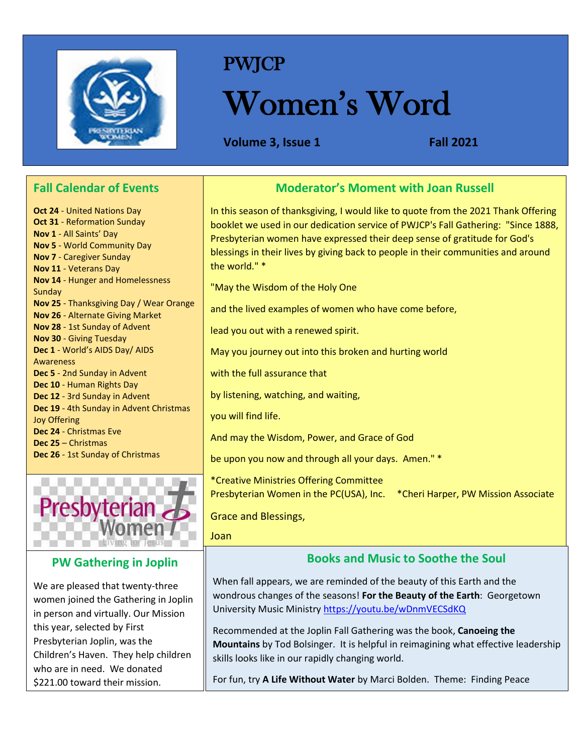

# PWJCP

# Women's Word

**Volume 3, Issue 1 Fall 2021**

# **Fall Calendar of Events**

**Oct 24** - United Nations Day **Oct 31** - Reformation Sunday **Nov 1** - All Saints' Day **Nov 5** - World Community Day **Nov 7** - Caregiver Sunday **Nov 11** - Veterans Day **Nov 14** - Hunger and Homelessness **Sundav Nov 25** - Thanksgiving Day / Wear Orange **Nov 26** - Alternate Giving Market **Nov 28** - 1st Sunday of Advent **Nov 30** - Giving Tuesday **Dec 1** - World's AIDS Day/ AIDS Awareness **Dec 5** - 2nd Sunday in Advent **Dec 10** - Human Rights Day **Dec 12** - 3rd Sunday in Advent **Dec 19** - 4th Sunday in Advent Christmas Joy Offering **Dec 24** - Christmas Eve **Dec 25** – Christmas **Dec 26** - 1st Sunday of Christmas



## **PW Gathering in Joplin**

We are pleased that twenty-three women joined the Gathering in Joplin in person and virtually. Our Mission this year, selected by First Presbyterian Joplin, was the Children's Haven. They help children who are in need. We donated \$221.00 toward their mission.

#### **Moderator's Moment with Joan Russell**

In this season of thanksgiving, I would like to quote from the 2021 Thank Offering booklet we used in our dedication service of PWJCP's Fall Gathering: "Since 1888, Presbyterian women have expressed their deep sense of gratitude for God's blessings in their lives by giving back to people in their communities and around the world." \*

"May the Wisdom of the Holy One

and the lived examples of women who have come before,

lead you out with a renewed spirit.

May you journey out into this broken and hurting world

with the full assurance that

by listening, watching, and waiting,

you will find life.

And may the Wisdom, Power, and Grace of God

be upon you now and through all your days. Amen." \*

\*Creative Ministries Offering Committee Presbyterian Women in the PC(USA), Inc. \*Cheri Harper, PW Mission Associate

Grace and Blessings,

Joan

## **Books and Music to Soothe the Soul**

When fall appears, we are reminded of the beauty of this Earth and the wondrous changes of the seasons! **For the Beauty of the Earth**: Georgetown University Music Ministr[y https://youtu.be/wDnmVECSdKQ](https://youtu.be/wDnmVECSdKQ)

Recommended at the Joplin Fall Gathering was the book, **Canoeing the Mountains** by Tod Bolsinger. It is helpful in reimagining what effective leadership skills looks like in our rapidly changing world.

For fun, try **A Life Without Water** by Marci Bolden. Theme: Finding Peace